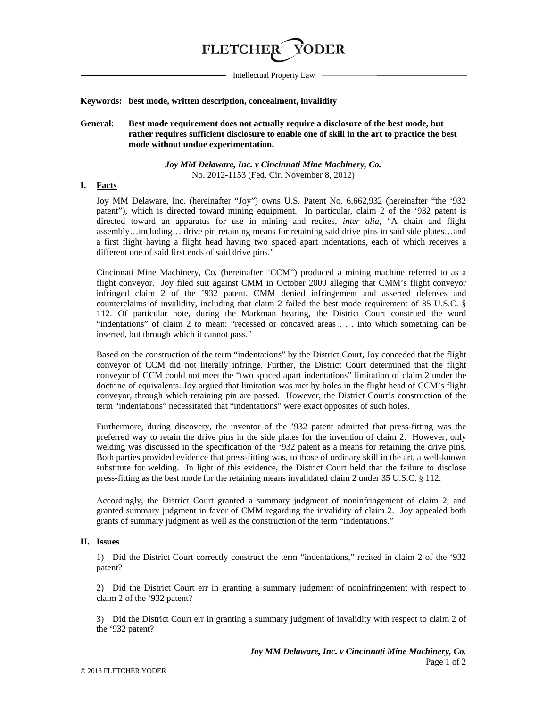

Intellectual Property Law

#### **Keywords: best mode, written description, concealment, invalidity**

## **General: Best mode requirement does not actually require a disclosure of the best mode, but rather requires sufficient disclosure to enable one of skill in the art to practice the best mode without undue experimentation.**

#### *Joy MM Delaware, Inc. v Cincinnati Mine Machinery, Co.* No. 2012-1153 (Fed. Cir. November 8, 2012)

#### **I. Facts**

Joy MM Delaware, Inc. (hereinafter "Joy") owns U.S. Patent No. 6,662,932 (hereinafter "the '932 patent"), which is directed toward mining equipment. In particular, claim 2 of the '932 patent is directed toward an apparatus for use in mining and recites, *inter alia*, "A chain and flight assembly…including… drive pin retaining means for retaining said drive pins in said side plates…and a first flight having a flight head having two spaced apart indentations, each of which receives a different one of said first ends of said drive pins."

Cincinnati Mine Machinery, Co*.* (hereinafter "CCM") produced a mining machine referred to as a flight conveyor. Joy filed suit against CMM in October 2009 alleging that CMM's flight conveyor infringed claim 2 of the '932 patent. CMM denied infringement and asserted defenses and counterclaims of invalidity, including that claim 2 failed the best mode requirement of 35 U.S.C. § 112. Of particular note, during the Markman hearing, the District Court construed the word "indentations" of claim 2 to mean: "recessed or concaved areas . . . into which something can be inserted, but through which it cannot pass."

Based on the construction of the term "indentations" by the District Court, Joy conceded that the flight conveyor of CCM did not literally infringe. Further, the District Court determined that the flight conveyor of CCM could not meet the "two spaced apart indentations" limitation of claim 2 under the doctrine of equivalents. Joy argued that limitation was met by holes in the flight head of CCM's flight conveyor, through which retaining pin are passed. However, the District Court's construction of the term "indentations" necessitated that "indentations" were exact opposites of such holes.

Furthermore, during discovery, the inventor of the '932 patent admitted that press-fitting was the preferred way to retain the drive pins in the side plates for the invention of claim 2. However, only welding was discussed in the specification of the '932 patent as a means for retaining the drive pins. Both parties provided evidence that press-fitting was, to those of ordinary skill in the art, a well-known substitute for welding. In light of this evidence, the District Court held that the failure to disclose press-fitting as the best mode for the retaining means invalidated claim 2 under 35 U.S.C. § 112.

Accordingly, the District Court granted a summary judgment of noninfringement of claim 2, and granted summary judgment in favor of CMM regarding the invalidity of claim 2. Joy appealed both grants of summary judgment as well as the construction of the term "indentations."

## **II. Issues**

1) Did the District Court correctly construct the term "indentations," recited in claim 2 of the '932 patent?

2) Did the District Court err in granting a summary judgment of noninfringement with respect to claim 2 of the '932 patent?

3) Did the District Court err in granting a summary judgment of invalidity with respect to claim 2 of the '932 patent?